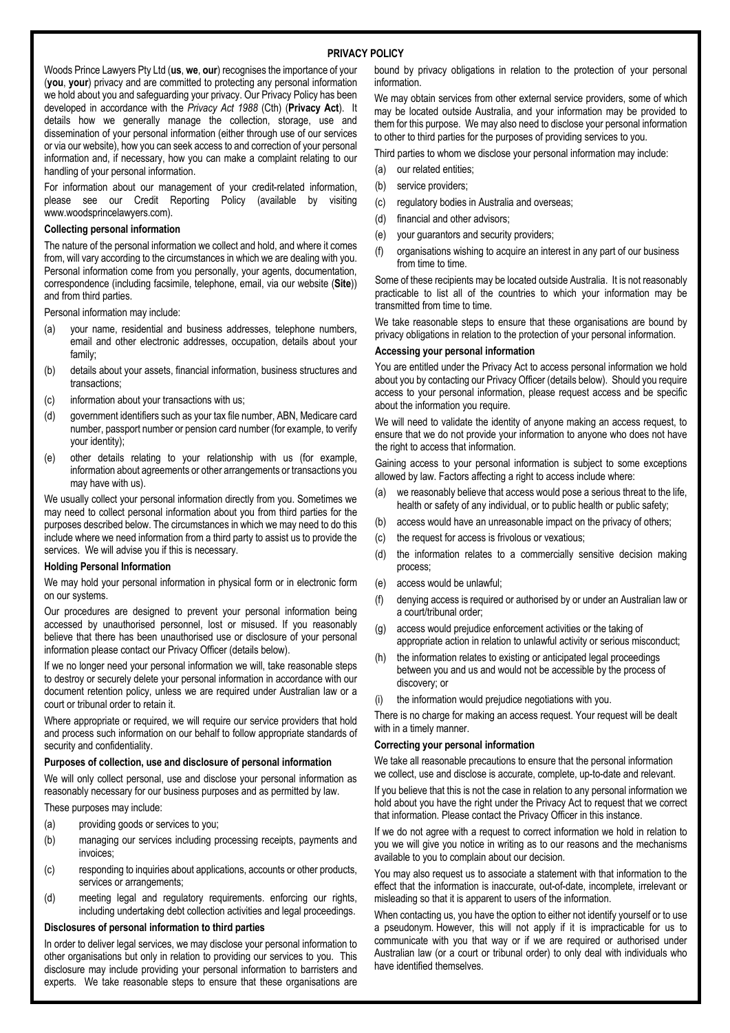# **PRIVACY POLICY**

Woods Prince Lawyers Pty Ltd (**us**, **we**, **our**) recognises the importance of your (**you**, **your**) privacy and are committed to protecting any personal information we hold about you and safeguarding your privacy. Our Privacy Policy has been developed in accordance with the *Privacy Act 1988* (Cth) (**Privacy Act**). It details how we generally manage the collection, storage, use and dissemination of your personal information (either through use of our services or via our website), how you can seek access to and correction of your personal information and, if necessary, how you can make a complaint relating to our handling of your personal information.

For information about our management of your credit-related information, please see our Credit Reporting Policy (available by visiting www.woodsprincelawyers.com).

#### **Collecting personal information**

The nature of the personal information we collect and hold, and where it comes from, will vary according to the circumstances in which we are dealing with you. Personal information come from you personally, your agents, documentation, correspondence (including facsimile, telephone, email, via our website (**Site**)) and from third parties.

Personal information may include:

- (a) your name, residential and business addresses, telephone numbers, email and other electronic addresses, occupation, details about your family;
- (b) details about your assets, financial information, business structures and transactions;
- (c) information about your transactions with us;
- (d) government identifiers such as your tax file number, ABN, Medicare card number, passport number or pension card number (for example, to verify your identity);
- (e) other details relating to your relationship with us (for example, information about agreements or other arrangements or transactions you may have with us).

We usually collect your personal information directly from you. Sometimes we may need to collect personal information about you from third parties for the purposes described below. The circumstances in which we may need to do this include where we need information from a third party to assist us to provide the services. We will advise you if this is necessary.

#### **Holding Personal Information**

We may hold your personal information in physical form or in electronic form on our systems.

Our procedures are designed to prevent your personal information being accessed by unauthorised personnel, lost or misused. If you reasonably believe that there has been unauthorised use or disclosure of your personal information please contact our Privacy Officer (details below).

If we no longer need your personal information we will, take reasonable steps to destroy or securely delete your personal information in accordance with our document retention policy, unless we are required under Australian law or a court or tribunal order to retain it.

Where appropriate or required, we will require our service providers that hold and process such information on our behalf to follow appropriate standards of security and confidentiality.

## **Purposes of collection, use and disclosure of personal information**

We will only collect personal, use and disclose your personal information as reasonably necessary for our business purposes and as permitted by law.

These purposes may include:

- (a) providing goods or services to you;
- (b) managing our services including processing receipts, payments and invoices;
- (c) responding to inquiries about applications, accounts or other products, services or arrangements;
- (d) meeting legal and regulatory requirements. enforcing our rights, including undertaking debt collection activities and legal proceedings.

## **Disclosures of personal information to third parties**

In order to deliver legal services, we may disclose your personal information to other organisations but only in relation to providing our services to you. This disclosure may include providing your personal information to barristers and experts. We take reasonable steps to ensure that these organisations are

bound by privacy obligations in relation to the protection of your personal information.

We may obtain services from other external service providers, some of which may be located outside Australia, and your information may be provided to them for this purpose. We may also need to disclose your personal information to other to third parties for the purposes of providing services to you.

Third parties to whom we disclose your personal information may include:

- (a) our related entities;
- (b) service providers;
- (c) regulatory bodies in Australia and overseas;
- (d) financial and other advisors;
- (e) your guarantors and security providers;
- (f) organisations wishing to acquire an interest in any part of our business from time to time.

Some of these recipients may be located outside Australia. It is not reasonably practicable to list all of the countries to which your information may be transmitted from time to time.

We take reasonable steps to ensure that these organisations are bound by privacy obligations in relation to the protection of your personal information.

#### **Accessing your personal information**

You are entitled under the Privacy Act to access personal information we hold about you by contacting our Privacy Officer (details below). Should you require access to your personal information, please request access and be specific about the information you require.

We will need to validate the identity of anyone making an access request, to ensure that we do not provide your information to anyone who does not have the right to access that information.

Gaining access to your personal information is subject to some exceptions allowed by law. Factors affecting a right to access include where:

- (a) we reasonably believe that access would pose a serious threat to the life, health or safety of any individual, or to public health or public safety;
- (b) access would have an unreasonable impact on the privacy of others;
- (c) the request for access is frivolous or vexatious;
- (d) the information relates to a commercially sensitive decision making process;
- (e) access would be unlawful;
- (f) denying access is required or authorised by or under an Australian law or a court/tribunal order;
- (g) access would prejudice enforcement activities or the taking of appropriate action in relation to unlawful activity or serious misconduct;
- (h) the information relates to existing or anticipated legal proceedings between you and us and would not be accessible by the process of discovery; or
- (i) the information would prejudice negotiations with you.

There is no charge for making an access request. Your request will be dealt with in a timely manner.

### **Correcting your personal information**

We take all reasonable precautions to ensure that the personal information we collect, use and disclose is accurate, complete, up-to-date and relevant.

If you believe that this is not the case in relation to any personal information we hold about you have the right under the Privacy Act to request that we correct that information. Please contact the Privacy Officer in this instance.

If we do not agree with a request to correct information we hold in relation to you we will give you notice in writing as to our reasons and the mechanisms available to you to complain about our decision.

You may also request us to associate a statement with that information to the effect that the information is inaccurate, out-of-date, incomplete, irrelevant or misleading so that it is apparent to users of the information.

When contacting us, you have the option to either not identify yourself or to use a pseudonym. However, this will not apply if it is impracticable for us to communicate with you that way or if we are required or authorised under Australian law (or a court or tribunal order) to only deal with individuals who have identified themselves.